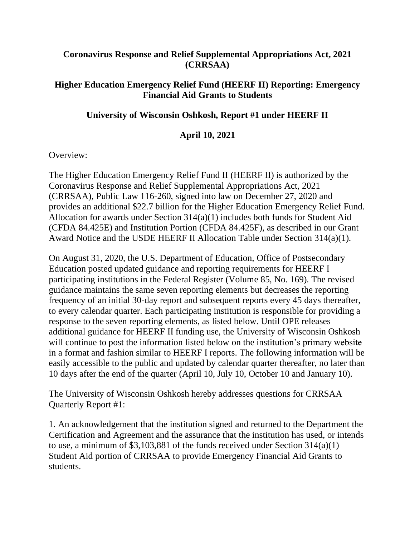## **Coronavirus Response and Relief Supplemental Appropriations Act, 2021 (CRRSAA)**

## **Higher Education Emergency Relief Fund (HEERF II) Reporting: Emergency Financial Aid Grants to Students**

## **University of Wisconsin Oshkosh, Report #1 under HEERF II**

## **April 10, 2021**

Overview:

The Higher Education Emergency Relief Fund II (HEERF II) is authorized by the Coronavirus Response and Relief Supplemental Appropriations Act, 2021 (CRRSAA), Public Law 116-260, signed into law on December 27, 2020 and provides an additional \$22.7 billion for the Higher Education Emergency Relief Fund. Allocation for awards under Section 314(a)(1) includes both funds for Student Aid (CFDA 84.425E) and Institution Portion (CFDA 84.425F), as described in our Grant Award Notice and the USDE HEERF II Allocation Table under Section 314(a)(1).

On August 31, 2020, the U.S. Department of Education, Office of Postsecondary Education posted updated guidance and reporting requirements for HEERF I participating institutions in the Federal Register (Volume 85, No. 169). The revised guidance maintains the same seven reporting elements but decreases the reporting frequency of an initial 30-day report and subsequent reports every 45 days thereafter, to every calendar quarter. Each participating institution is responsible for providing a response to the seven reporting elements, as listed below. Until OPE releases additional guidance for HEERF II funding use, the University of Wisconsin Oshkosh will continue to post the information listed below on the institution's primary website in a format and fashion similar to HEERF I reports. The following information will be easily accessible to the public and updated by calendar quarter thereafter, no later than 10 days after the end of the quarter (April 10, July 10, October 10 and January 10).

The University of Wisconsin Oshkosh hereby addresses questions for CRRSAA Quarterly Report #1:

1. An acknowledgement that the institution signed and returned to the Department the Certification and Agreement and the assurance that the institution has used, or intends to use, a minimum of \$3,103,881 of the funds received under Section 314(a)(1) Student Aid portion of CRRSAA to provide Emergency Financial Aid Grants to students.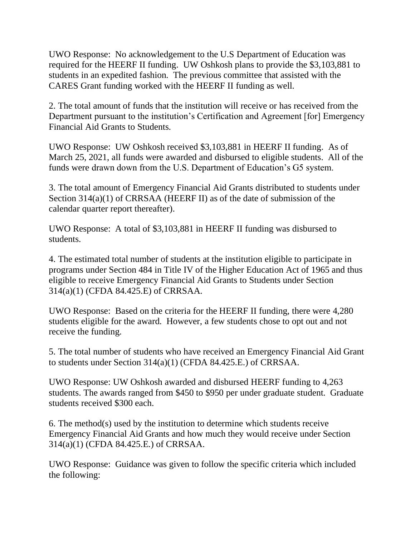UWO Response: No acknowledgement to the U.S Department of Education was required for the HEERF II funding. UW Oshkosh plans to provide the \$3,103,881 to students in an expedited fashion. The previous committee that assisted with the CARES Grant funding worked with the HEERF II funding as well.

2. The total amount of funds that the institution will receive or has received from the Department pursuant to the institution's Certification and Agreement [for] Emergency Financial Aid Grants to Students.

UWO Response: UW Oshkosh received \$3,103,881 in HEERF II funding. As of March 25, 2021, all funds were awarded and disbursed to eligible students. All of the funds were drawn down from the U.S. Department of Education's G5 system.

3. The total amount of Emergency Financial Aid Grants distributed to students under Section 314(a)(1) of CRRSAA (HEERF II) as of the date of submission of the calendar quarter report thereafter).

UWO Response: A total of \$3,103,881 in HEERF II funding was disbursed to students.

4. The estimated total number of students at the institution eligible to participate in programs under Section 484 in Title IV of the Higher Education Act of 1965 and thus eligible to receive Emergency Financial Aid Grants to Students under Section 314(a)(1) (CFDA 84.425.E) of CRRSAA.

UWO Response: Based on the criteria for the HEERF II funding, there were 4,280 students eligible for the award. However, a few students chose to opt out and not receive the funding.

5. The total number of students who have received an Emergency Financial Aid Grant to students under Section 314(a)(1) (CFDA 84.425.E.) of CRRSAA.

UWO Response: UW Oshkosh awarded and disbursed HEERF funding to 4,263 students. The awards ranged from \$450 to \$950 per under graduate student. Graduate students received \$300 each.

6. The method(s) used by the institution to determine which students receive Emergency Financial Aid Grants and how much they would receive under Section 314(a)(1) (CFDA 84.425.E.) of CRRSAA.

UWO Response: Guidance was given to follow the specific criteria which included the following: